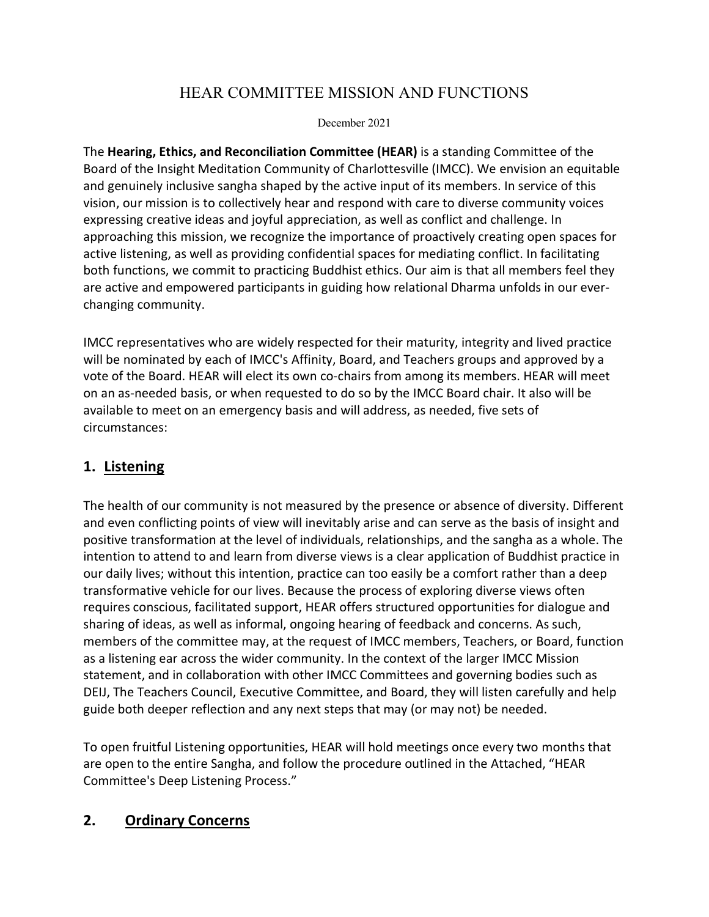# HEAR COMMITTEE MISSION AND FUNCTIONS

#### December 2021

The **Hearing, Ethics, and Reconciliation Committee (HEAR)** is a standing Committee of the Board of the Insight Meditation Community of Charlottesville (IMCC). We envision an equitable and genuinely inclusive sangha shaped by the active input of its members. In service of this vision, our mission is to collectively hear and respond with care to diverse community voices expressing creative ideas and joyful appreciation, as well as conflict and challenge. In approaching this mission, we recognize the importance of proactively creating open spaces for active listening, as well as providing confidential spaces for mediating conflict. In facilitating both functions, we commit to practicing Buddhist ethics. Our aim is that all members feel they are active and empowered participants in guiding how relational Dharma unfolds in our everchanging community.

IMCC representatives who are widely respected for their maturity, integrity and lived practice will be nominated by each of IMCC's Affinity, Board, and Teachers groups and approved by a vote of the Board. HEAR will elect its own co-chairs from among its members. HEAR will meet on an as-needed basis, or when requested to do so by the IMCC Board chair. It also will be available to meet on an emergency basis and will address, as needed, five sets of circumstances:

### **1. Listening**

The health of our community is not measured by the presence or absence of diversity. Different and even conflicting points of view will inevitably arise and can serve as the basis of insight and positive transformation at the level of individuals, relationships, and the sangha as a whole. The intention to attend to and learn from diverse views is a clear application of Buddhist practice in our daily lives; without this intention, practice can too easily be a comfort rather than a deep transformative vehicle for our lives. Because the process of exploring diverse views often requires conscious, facilitated support, HEAR offers structured opportunities for dialogue and sharing of ideas, as well as informal, ongoing hearing of feedback and concerns. As such, members of the committee may, at the request of IMCC members, Teachers, or Board, function as a listening ear across the wider community. In the context of the larger IMCC Mission statement, and in collaboration with other IMCC Committees and governing bodies such as DEIJ, The Teachers Council, Executive Committee, and Board, they will listen carefully and help guide both deeper reflection and any next steps that may (or may not) be needed.

To open fruitful Listening opportunities, HEAR will hold meetings once every two months that are open to the entire Sangha, and follow the procedure outlined in the Attached, "HEAR Committee's Deep Listening Process."

## **2. Ordinary Concerns**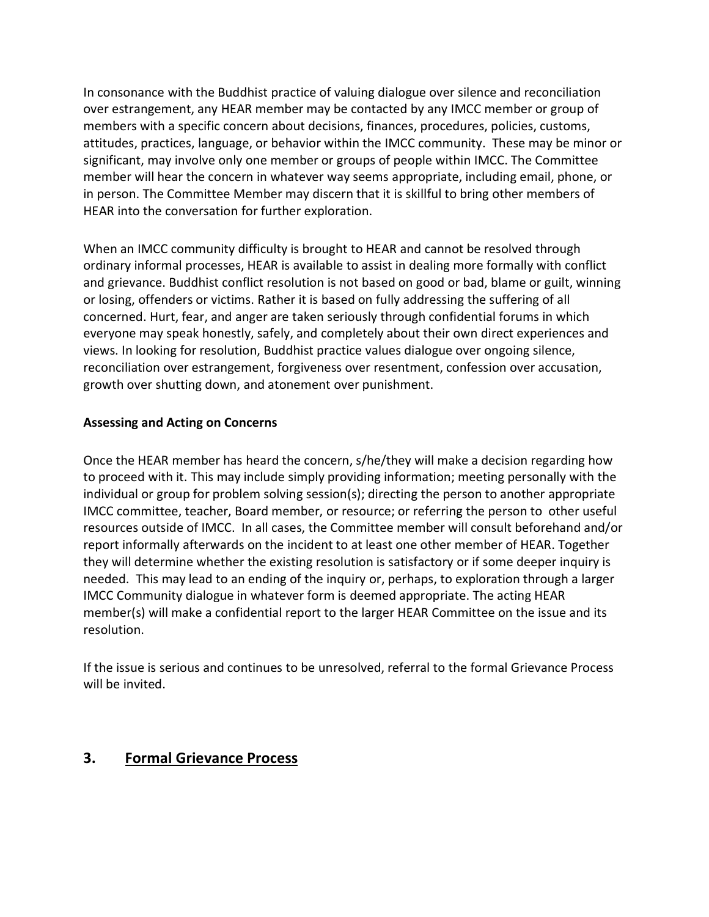In consonance with the Buddhist practice of valuing dialogue over silence and reconciliation over estrangement, any HEAR member may be contacted by any IMCC member or group of members with a specific concern about decisions, finances, procedures, policies, customs, attitudes, practices, language, or behavior within the IMCC community. These may be minor or significant, may involve only one member or groups of people within IMCC. The Committee member will hear the concern in whatever way seems appropriate, including email, phone, or in person. The Committee Member may discern that it is skillful to bring other members of HEAR into the conversation for further exploration.

When an IMCC community difficulty is brought to HEAR and cannot be resolved through ordinary informal processes, HEAR is available to assist in dealing more formally with conflict and grievance. Buddhist conflict resolution is not based on good or bad, blame or guilt, winning or losing, offenders or victims. Rather it is based on fully addressing the suffering of all concerned. Hurt, fear, and anger are taken seriously through confidential forums in which everyone may speak honestly, safely, and completely about their own direct experiences and views. In looking for resolution, Buddhist practice values dialogue over ongoing silence, reconciliation over estrangement, forgiveness over resentment, confession over accusation, growth over shutting down, and atonement over punishment.

#### **Assessing and Acting on Concerns**

Once the HEAR member has heard the concern, s/he/they will make a decision regarding how to proceed with it. This may include simply providing information; meeting personally with the individual or group for problem solving session(s); directing the person to another appropriate IMCC committee, teacher, Board member, or resource; or referring the person to other useful resources outside of IMCC. In all cases, the Committee member will consult beforehand and/or report informally afterwards on the incident to at least one other member of HEAR. Together they will determine whether the existing resolution is satisfactory or if some deeper inquiry is needed. This may lead to an ending of the inquiry or, perhaps, to exploration through a larger IMCC Community dialogue in whatever form is deemed appropriate. The acting HEAR member(s) will make a confidential report to the larger HEAR Committee on the issue and its resolution.

If the issue is serious and continues to be unresolved, referral to the formal Grievance Process will be invited.

### **3. Formal Grievance Process**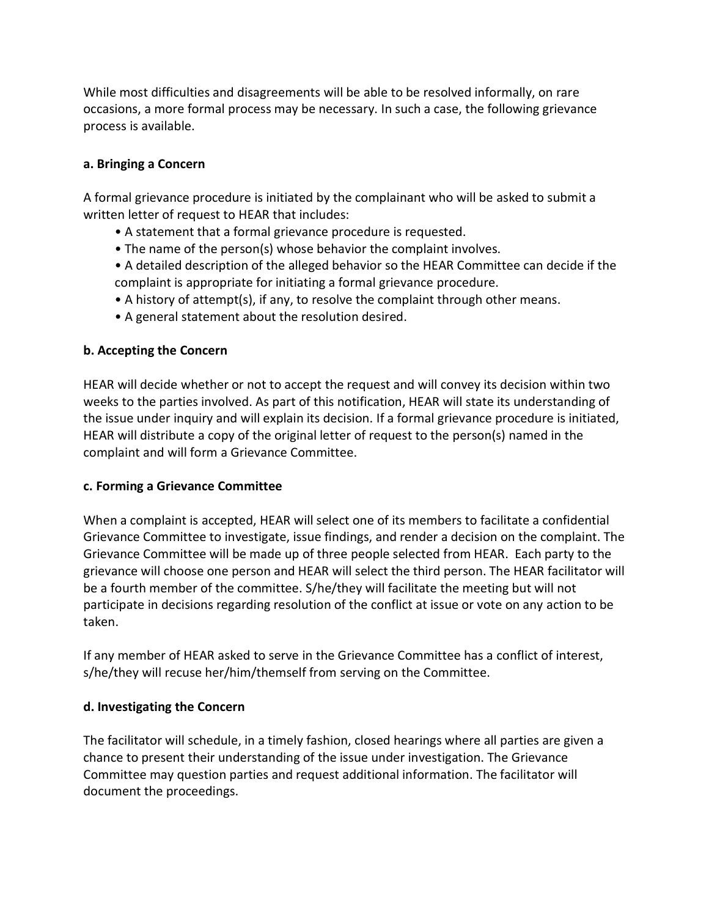While most difficulties and disagreements will be able to be resolved informally, on rare occasions, a more formal process may be necessary. In such a case, the following grievance process is available.

#### **a. Bringing a Concern**

A formal grievance procedure is initiated by the complainant who will be asked to submit a written letter of request to HEAR that includes:

- A statement that a formal grievance procedure is requested.
- The name of the person(s) whose behavior the complaint involves.
- A detailed description of the alleged behavior so the HEAR Committee can decide if the complaint is appropriate for initiating a formal grievance procedure.
- A history of attempt(s), if any, to resolve the complaint through other means.
- A general statement about the resolution desired.

### **b. Accepting the Concern**

HEAR will decide whether or not to accept the request and will convey its decision within two weeks to the parties involved. As part of this notification, HEAR will state its understanding of the issue under inquiry and will explain its decision. If a formal grievance procedure is initiated, HEAR will distribute a copy of the original letter of request to the person(s) named in the complaint and will form a Grievance Committee.

#### **c. Forming a Grievance Committee**

When a complaint is accepted, HEAR will select one of its members to facilitate a confidential Grievance Committee to investigate, issue findings, and render a decision on the complaint. The Grievance Committee will be made up of three people selected from HEAR. Each party to the grievance will choose one person and HEAR will select the third person. The HEAR facilitator will be a fourth member of the committee. S/he/they will facilitate the meeting but will not participate in decisions regarding resolution of the conflict at issue or vote on any action to be taken.

If any member of HEAR asked to serve in the Grievance Committee has a conflict of interest, s/he/they will recuse her/him/themself from serving on the Committee.

### **d. Investigating the Concern**

The facilitator will schedule, in a timely fashion, closed hearings where all parties are given a chance to present their understanding of the issue under investigation. The Grievance Committee may question parties and request additional information. The facilitator will document the proceedings.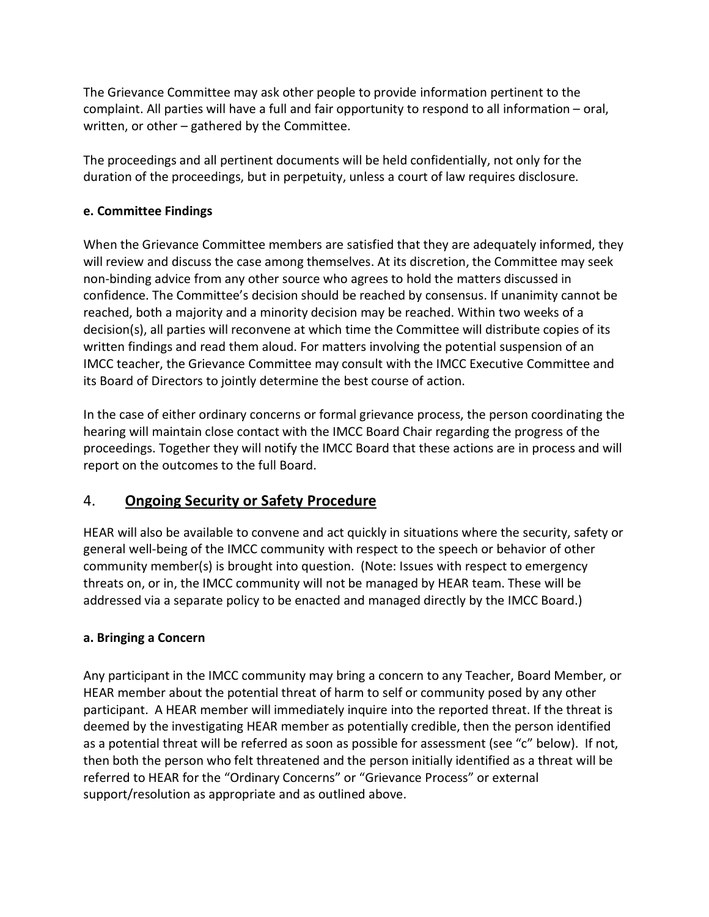The Grievance Committee may ask other people to provide information pertinent to the complaint. All parties will have a full and fair opportunity to respond to all information – oral, written, or other – gathered by the Committee.

The proceedings and all pertinent documents will be held confidentially, not only for the duration of the proceedings, but in perpetuity, unless a court of law requires disclosure.

### **e. Committee Findings**

When the Grievance Committee members are satisfied that they are adequately informed, they will review and discuss the case among themselves. At its discretion, the Committee may seek non-binding advice from any other source who agrees to hold the matters discussed in confidence. The Committee's decision should be reached by consensus. If unanimity cannot be reached, both a majority and a minority decision may be reached. Within two weeks of a decision(s), all parties will reconvene at which time the Committee will distribute copies of its written findings and read them aloud. For matters involving the potential suspension of an IMCC teacher, the Grievance Committee may consult with the IMCC Executive Committee and its Board of Directors to jointly determine the best course of action.

In the case of either ordinary concerns or formal grievance process, the person coordinating the hearing will maintain close contact with the IMCC Board Chair regarding the progress of the proceedings. Together they will notify the IMCC Board that these actions are in process and will report on the outcomes to the full Board.

## 4. **Ongoing Security or Safety Procedure**

HEAR will also be available to convene and act quickly in situations where the security, safety or general well-being of the IMCC community with respect to the speech or behavior of other community member(s) is brought into question. (Note: Issues with respect to emergency threats on, or in, the IMCC community will not be managed by HEAR team. These will be addressed via a separate policy to be enacted and managed directly by the IMCC Board.)

### **a. Bringing a Concern**

Any participant in the IMCC community may bring a concern to any Teacher, Board Member, or HEAR member about the potential threat of harm to self or community posed by any other participant. A HEAR member will immediately inquire into the reported threat. If the threat is deemed by the investigating HEAR member as potentially credible, then the person identified as a potential threat will be referred as soon as possible for assessment (see "c" below). If not, then both the person who felt threatened and the person initially identified as a threat will be referred to HEAR for the "Ordinary Concerns" or "Grievance Process" or external support/resolution as appropriate and as outlined above.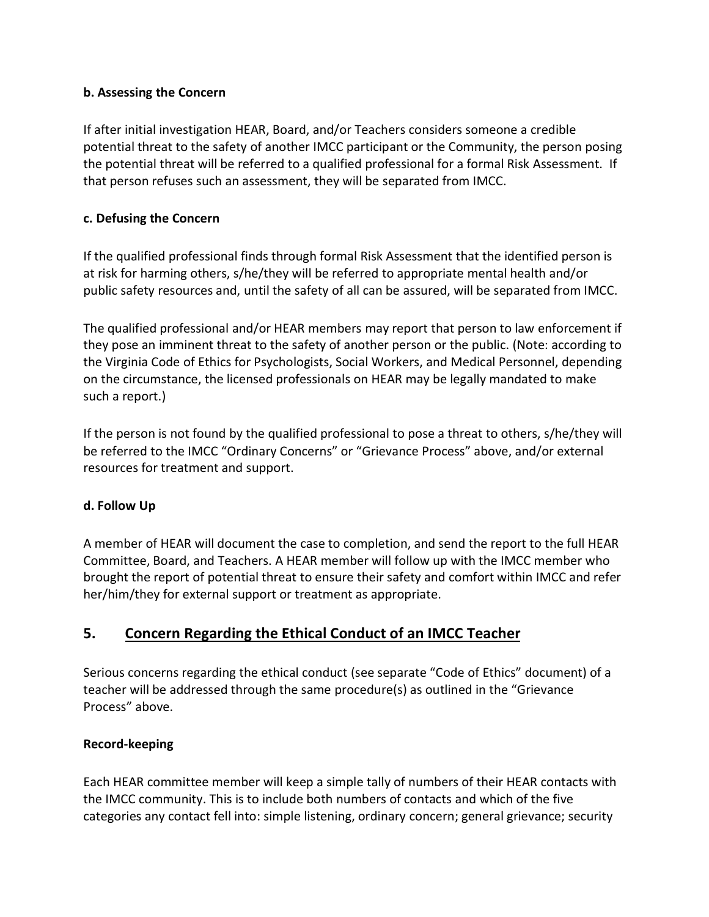#### **b. Assessing the Concern**

If after initial investigation HEAR, Board, and/or Teachers considers someone a credible potential threat to the safety of another IMCC participant or the Community, the person posing the potential threat will be referred to a qualified professional for a formal Risk Assessment. If that person refuses such an assessment, they will be separated from IMCC.

#### **c. Defusing the Concern**

If the qualified professional finds through formal Risk Assessment that the identified person is at risk for harming others, s/he/they will be referred to appropriate mental health and/or public safety resources and, until the safety of all can be assured, will be separated from IMCC.

The qualified professional and/or HEAR members may report that person to law enforcement if they pose an imminent threat to the safety of another person or the public. (Note: according to the Virginia Code of Ethics for Psychologists, Social Workers, and Medical Personnel, depending on the circumstance, the licensed professionals on HEAR may be legally mandated to make such a report.)

If the person is not found by the qualified professional to pose a threat to others, s/he/they will be referred to the IMCC "Ordinary Concerns" or "Grievance Process" above, and/or external resources for treatment and support.

### **d. Follow Up**

A member of HEAR will document the case to completion, and send the report to the full HEAR Committee, Board, and Teachers. A HEAR member will follow up with the IMCC member who brought the report of potential threat to ensure their safety and comfort within IMCC and refer her/him/they for external support or treatment as appropriate.

## **5. Concern Regarding the Ethical Conduct of an IMCC Teacher**

Serious concerns regarding the ethical conduct (see separate "Code of Ethics" document) of a teacher will be addressed through the same procedure(s) as outlined in the "Grievance Process" above.

### **Record-keeping**

Each HEAR committee member will keep a simple tally of numbers of their HEAR contacts with the IMCC community. This is to include both numbers of contacts and which of the five categories any contact fell into: simple listening, ordinary concern; general grievance; security